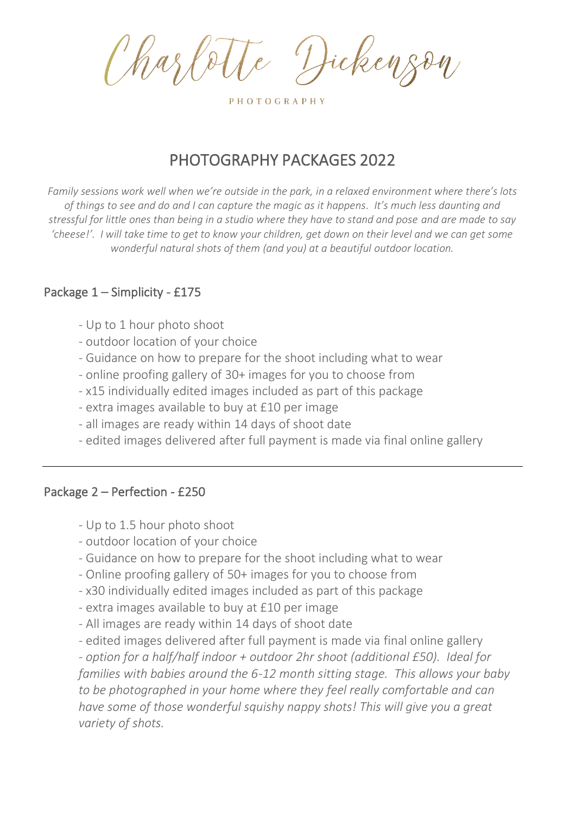Hickey

PHOTOGRAPHY

# PHOTOGRAPHY PACKAGES 2022

*Family sessions work well when we're outside in the park, in a relaxed environment where there's lots of things to see and do and I can capture the magic as it happens. It's much less daunting and stressful for little ones than being in a studio where they have to stand and pose and are made to say 'cheese!'. I will take time to get to know your children, get down on their level and we can get some wonderful natural shots of them (and you) at a beautiful outdoor location.*

### Package 1 – Simplicity - £175

- Up to 1 hour photo shoot
- outdoor location of your choice
- Guidance on how to prepare for the shoot including what to wear
- online proofing gallery of 30+ images for you to choose from
- x15 individually edited images included as part of this package
- extra images available to buy at £10 per image
- all images are ready within 14 days of shoot date
- edited images delivered after full payment is made via final online gallery

#### Package 2 – Perfection - £250

- Up to 1.5 hour photo shoot
- outdoor location of your choice
- Guidance on how to prepare for the shoot including what to wear
- Online proofing gallery of 50+ images for you to choose from
- x30 individually edited images included as part of this package
- extra images available to buy at £10 per image
- All images are ready within 14 days of shoot date
- edited images delivered after full payment is made via final online gallery

*- option for a half/half indoor + outdoor 2hr shoot (additional £50). Ideal for families with babies around the 6-12 month sitting stage. This allows your baby to be photographed in your home where they feel really comfortable and can have some of those wonderful squishy nappy shots! This will give you a great variety of shots.*